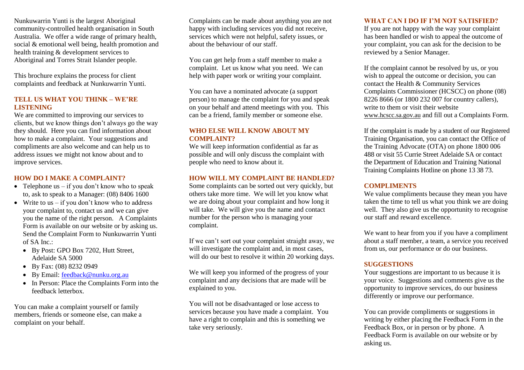Nunkuwarrin Yunti is the largest Aboriginal community-controlled health organisation in South Australia. We offer a wide range of primary health, social & emotional well being, health promotion and health training & development services to Aboriginal and Torres Strait Islander people.

This brochure explains the process for client complaints and feedback at Nunkuwarrin Yunti.

# **TELL US WHAT YOU THINK – WE'RE LISTENING**

We are committed to improving our services to clients, but we know things don't always go the way they should. Here you can find information about how to make a complaint. Your suggestions and compliments are also welcome and can help us to address issues we might not know about and to improve services.

# **HOW DO I MAKE A COMPLAINT?**

- Telephone us  $-$  if you don't know who to speak to, ask to speak to a Manager: (08) 8406 1600
- Write to us  $-$  if you don't know who to address your complaint to, contact us and we can give you the name of the right person. A Complaints Form is available on our website or by asking us. Send the Complaint Form to Nunkuwarrin Yunti of SA Inc.:
	- By Post: GPO Box 7202, Hutt Street, Adelaide SA 5000
	- By Fax: (08) 8232 0949
	- By Email: [feedback@nunku.org.au](mailto:feedback@nunku.org.au)
	- In Person: Place the Complaints Form into the feedback letterbox.

You can make a complaint yourself or family members, friends or someone else, can make a complaint on your behalf.

Complaints can be made about anything you are not happy with including services you did not receive. services which were not helpful, safety issues, or about the behaviour of our staff.

You can get help from a staff member to make a complaint. Let us know what you need. We can help with paper work or writing your complaint.

You can have a nominated advocate (a support person) to manage the complaint for you and speak on your behalf and attend meetings with you. This can be a friend, family member or someone else.

# **WHO ELSE WILL KNOW ABOUT MY COMPLAINT?**

We will keep information confidential as far as possible and will only discuss the complaint with people who need to know about it.

# **HOW WILL MY COMPLAINT BE HANDLED?**

Some complaints can be sorted out very quickly, but others take more time. We will let you know what we are doing about your complaint and how long it will take. We will give you the name and contact number for the person who is managing your complaint.

If we can't sort out your complaint straight away, we will investigate the complaint and, in most cases, will do our best to resolve it within 20 working days.

We will keep you informed of the progress of your complaint and any decisions that are made will be explained to you.

You will not be disadvantaged or lose access to services because you have made a complaint. You have a right to complain and this is something we take very seriously.

# **WHAT CAN I DO IF I'M NOT SATISFIED?**

If you are not happy with the way your complaint has been handled or wish to appeal the outcome of your complaint, you can ask for the decision to be reviewed by a Senior Manager.

If the complaint cannot be resolved by us, or you wish to appeal the outcome or decision, you can contact the Health & Community Services Complaints Commissioner (HCSCC) on phone (08) 8226 8666 (or 1800 232 007 for country callers), write to them or visit their website [www.hcscc.sa.gov.au](http://www.hcscc.sa.gov.au/) and fill out a Complaints Form.

If the complaint is made by a student of our Registered Training Organisation, you can contact the Office of the Training Advocate (OTA) on phone 1800 006 488 or visit 55 Currie Street Adelaide SA or contact the Department of Education and Training National Training Complaints Hotline on phone 13 38 73.

# **COMPLIMENTS**

We value compliments because they mean you have taken the time to tell us what you think we are doing well. They also give us the opportunity to recognise our staff and reward excellence.

We want to hear from you if you have a compliment about a staff member, a team, a service you received from us, our performance or do our business.

# **SUGGESTIONS**

Your suggestions are important to us because it is your voice. Suggestions and comments give us the opportunity to improve services, do our business differently or improve our performance.

You can provide compliments or suggestions in writing by either placing the Feedback Form in the Feedback Box, or in person or by phone. A Feedback Form is available on our website or by asking us.